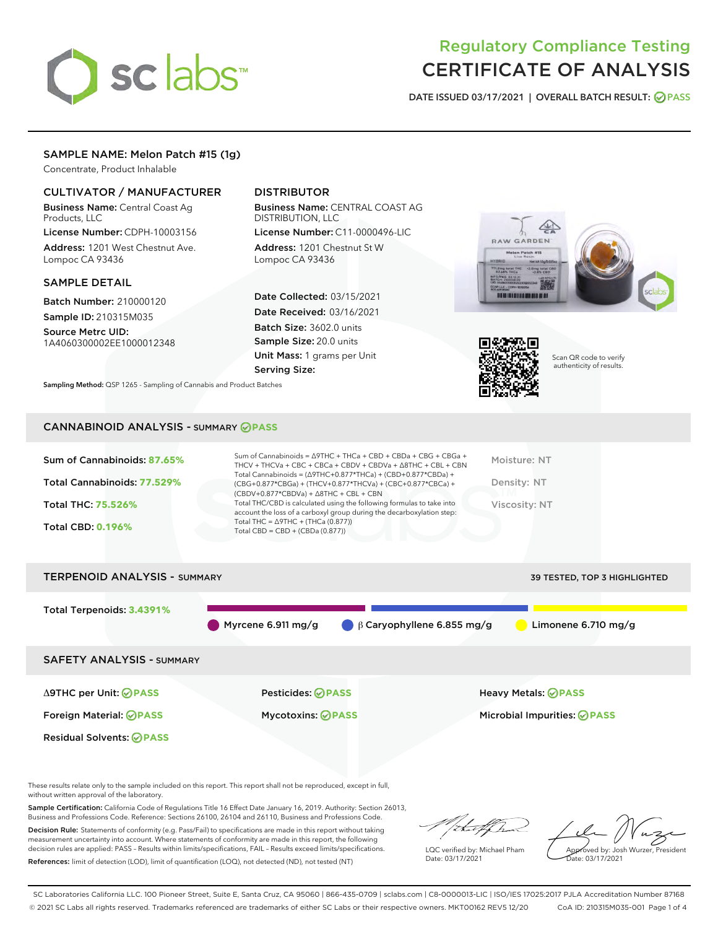# sclabs

# Regulatory Compliance Testing CERTIFICATE OF ANALYSIS

DATE ISSUED 03/17/2021 | OVERALL BATCH RESULT: @ PASS

# SAMPLE NAME: Melon Patch #15 (1g)

Concentrate, Product Inhalable

# CULTIVATOR / MANUFACTURER

Business Name: Central Coast Ag Products, LLC

License Number: CDPH-10003156 Address: 1201 West Chestnut Ave. Lompoc CA 93436

#### SAMPLE DETAIL

Batch Number: 210000120 Sample ID: 210315M035

Source Metrc UID: 1A4060300002EE1000012348

# DISTRIBUTOR

Business Name: CENTRAL COAST AG DISTRIBUTION, LLC

License Number: C11-0000496-LIC Address: 1201 Chestnut St W Lompoc CA 93436

Date Collected: 03/15/2021 Date Received: 03/16/2021 Batch Size: 3602.0 units Sample Size: 20.0 units Unit Mass: 1 grams per Unit Serving Size:





Scan QR code to verify authenticity of results.

Sampling Method: QSP 1265 - Sampling of Cannabis and Product Batches

# CANNABINOID ANALYSIS - SUMMARY **PASS**

| Sum of Cannabinoids: 87.65% | Sum of Cannabinoids = $\triangle$ 9THC + THCa + CBD + CBDa + CBG + CBGa +<br>THCV + THCVa + CBC + CBCa + CBDV + CBDVa + $\Delta$ 8THC + CBL + CBN                                        | Moisture: NT  |
|-----------------------------|------------------------------------------------------------------------------------------------------------------------------------------------------------------------------------------|---------------|
| Total Cannabinoids: 77.529% | Total Cannabinoids = $(\Delta 9THC + 0.877*THCa) + (CBD + 0.877*CBDa) +$<br>(CBG+0.877*CBGa) + (THCV+0.877*THCVa) + (CBC+0.877*CBCa) +<br>$(CBDV+0.877*CBDVa) + \Delta 8THC + CBL + CBN$ | Density: NT   |
| <b>Total THC: 75.526%</b>   | Total THC/CBD is calculated using the following formulas to take into<br>account the loss of a carboxyl group during the decarboxylation step:                                           | Viscosity: NT |
| <b>Total CBD: 0.196%</b>    | Total THC = $\triangle$ 9THC + (THCa (0.877))<br>Total CBD = $CBD + (CBDa (0.877))$                                                                                                      |               |
|                             |                                                                                                                                                                                          |               |



These results relate only to the sample included on this report. This report shall not be reproduced, except in full, without written approval of the laboratory.

Sample Certification: California Code of Regulations Title 16 Effect Date January 16, 2019. Authority: Section 26013, Business and Professions Code. Reference: Sections 26100, 26104 and 26110, Business and Professions Code.

Decision Rule: Statements of conformity (e.g. Pass/Fail) to specifications are made in this report without taking measurement uncertainty into account. Where statements of conformity are made in this report, the following decision rules are applied: PASS – Results within limits/specifications, FAIL – Results exceed limits/specifications. References: limit of detection (LOD), limit of quantification (LOQ), not detected (ND), not tested (NT)

that for

LQC verified by: Michael Pham Date: 03/17/2021

Approved by: Josh Wurzer, President ate: 03/17/2021

SC Laboratories California LLC. 100 Pioneer Street, Suite E, Santa Cruz, CA 95060 | 866-435-0709 | sclabs.com | C8-0000013-LIC | ISO/IES 17025:2017 PJLA Accreditation Number 87168 © 2021 SC Labs all rights reserved. Trademarks referenced are trademarks of either SC Labs or their respective owners. MKT00162 REV5 12/20 CoA ID: 210315M035-001 Page 1 of 4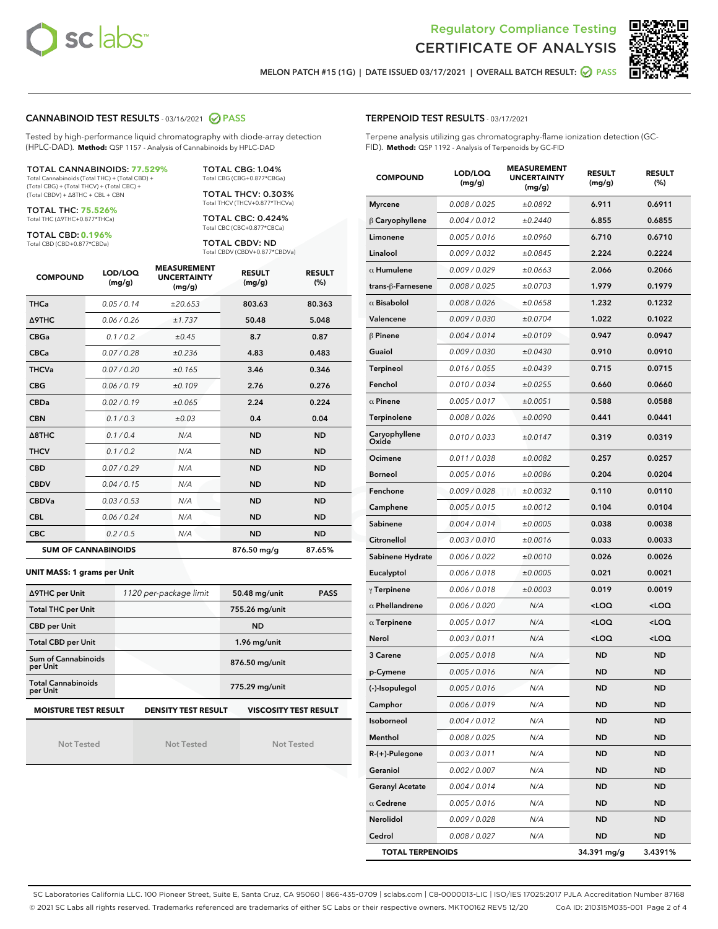



MELON PATCH #15 (1G) | DATE ISSUED 03/17/2021 | OVERALL BATCH RESULT: **○** PASS

#### CANNABINOID TEST RESULTS - 03/16/2021 2 PASS

Tested by high-performance liquid chromatography with diode-array detection (HPLC-DAD). **Method:** QSP 1157 - Analysis of Cannabinoids by HPLC-DAD

#### TOTAL CANNABINOIDS: **77.529%**

Total Cannabinoids (Total THC) + (Total CBD) + (Total CBG) + (Total THCV) + (Total CBC) + (Total CBDV) + ∆8THC + CBL + CBN

TOTAL THC: **75.526%** Total THC (∆9THC+0.877\*THCa)

TOTAL CBD: **0.196%**

Total CBD (CBD+0.877\*CBDa)

TOTAL CBG: 1.04% Total CBG (CBG+0.877\*CBGa)

TOTAL THCV: 0.303% Total THCV (THCV+0.877\*THCVa)

TOTAL CBC: 0.424% Total CBC (CBC+0.877\*CBCa)

TOTAL CBDV: ND Total CBDV (CBDV+0.877\*CBDVa)

| <b>COMPOUND</b>  | LOD/LOQ<br>(mg/g)          | <b>MEASUREMENT</b><br><b>UNCERTAINTY</b><br>(mg/g) | <b>RESULT</b><br>(mg/g) | <b>RESULT</b><br>(%) |
|------------------|----------------------------|----------------------------------------------------|-------------------------|----------------------|
| <b>THCa</b>      | 0.05/0.14                  | ±20.653                                            | 803.63                  | 80.363               |
| <b>A9THC</b>     | 0.06 / 0.26                | ±1.737                                             | 50.48                   | 5.048                |
| <b>CBGa</b>      | 0.1/0.2                    | $\pm 0.45$                                         | 8.7                     | 0.87                 |
| <b>CBCa</b>      | 0.07 / 0.28                | ±0.236                                             | 4.83                    | 0.483                |
| <b>THCVa</b>     | 0.07/0.20                  | ±0.165                                             | 3.46                    | 0.346                |
| <b>CBG</b>       | 0.06/0.19                  | ±0.109                                             | 2.76                    | 0.276                |
| <b>CBDa</b>      | 0.02/0.19                  | ±0.065                                             | 2.24                    | 0.224                |
| <b>CBN</b>       | 0.1/0.3                    | ±0.03                                              | 0.4                     | 0.04                 |
| $\triangle$ 8THC | 0.1/0.4                    | N/A                                                | <b>ND</b>               | <b>ND</b>            |
| <b>THCV</b>      | 0.1/0.2                    | N/A                                                | <b>ND</b>               | <b>ND</b>            |
| <b>CBD</b>       | 0.07/0.29                  | N/A                                                | <b>ND</b>               | <b>ND</b>            |
| <b>CBDV</b>      | 0.04 / 0.15                | N/A                                                | <b>ND</b>               | <b>ND</b>            |
| <b>CBDVa</b>     | 0.03/0.53                  | N/A                                                | <b>ND</b>               | <b>ND</b>            |
| <b>CBL</b>       | 0.06 / 0.24                | N/A                                                | <b>ND</b>               | <b>ND</b>            |
| <b>CBC</b>       | 0.2 / 0.5                  | N/A                                                | <b>ND</b>               | <b>ND</b>            |
|                  | <b>SUM OF CANNABINOIDS</b> |                                                    | 876.50 mg/g             | 87.65%               |

#### **UNIT MASS: 1 grams per Unit**

| ∆9THC per Unit                        | 1120 per-package limit     | 50.48 mg/unit<br><b>PASS</b> |
|---------------------------------------|----------------------------|------------------------------|
| <b>Total THC per Unit</b>             |                            | 755.26 mg/unit               |
| <b>CBD per Unit</b>                   |                            | <b>ND</b>                    |
| <b>Total CBD per Unit</b>             |                            | 1.96 mg/unit                 |
| Sum of Cannabinoids<br>per Unit       |                            | 876.50 mg/unit               |
| <b>Total Cannabinoids</b><br>per Unit |                            | 775.29 mg/unit               |
| <b>MOISTURE TEST RESULT</b>           | <b>DENSITY TEST RESULT</b> | <b>VISCOSITY TEST RESULT</b> |

Not Tested

Not Tested

Not Tested

#### TERPENOID TEST RESULTS - 03/17/2021

Terpene analysis utilizing gas chromatography-flame ionization detection (GC-FID). **Method:** QSP 1192 - Analysis of Terpenoids by GC-FID

| <b>COMPOUND</b>         | LOD/LOQ<br>(mg/g) | <b>MEASUREMENT</b><br><b>UNCERTAINTY</b><br>(mg/g) | <b>RESULT</b><br>(mg/g)                         | <b>RESULT</b><br>(%) |
|-------------------------|-------------------|----------------------------------------------------|-------------------------------------------------|----------------------|
| <b>Myrcene</b>          | 0.008 / 0.025     | ±0.0892                                            | 6.911                                           | 0.6911               |
| $\beta$ Caryophyllene   | 0.004 / 0.012     | ±0.2440                                            | 6.855                                           | 0.6855               |
| Limonene                | 0.005 / 0.016     | ±0.0960                                            | 6.710                                           | 0.6710               |
| Linalool                | 0.009 / 0.032     | ±0.0845                                            | 2.224                                           | 0.2224               |
| $\alpha$ Humulene       | 0.009 / 0.029     | ±0.0663                                            | 2.066                                           | 0.2066               |
| trans-ß-Farnesene       | 0.008 / 0.025     | ±0.0703                                            | 1.979                                           | 0.1979               |
| $\alpha$ Bisabolol      | 0.008 / 0.026     | ±0.0658                                            | 1.232                                           | 0.1232               |
| Valencene               | 0.009 / 0.030     | ±0.0704                                            | 1.022                                           | 0.1022               |
| $\beta$ Pinene          | 0.004 / 0.014     | ±0.0109                                            | 0.947                                           | 0.0947               |
| Guaiol                  | 0.009 / 0.030     | ±0.0430                                            | 0.910                                           | 0.0910               |
| <b>Terpineol</b>        | 0.016 / 0.055     | ±0.0439                                            | 0.715                                           | 0.0715               |
| Fenchol                 | 0.010 / 0.034     | ±0.0255                                            | 0.660                                           | 0.0660               |
| $\alpha$ Pinene         | 0.005 / 0.017     | ±0.0051                                            | 0.588                                           | 0.0588               |
| Terpinolene             | 0.008 / 0.026     | ±0.0090                                            | 0.441                                           | 0.0441               |
| Caryophyllene<br>Oxide  | 0.010 / 0.033     | ±0.0147                                            | 0.319                                           | 0.0319               |
| Ocimene                 | 0.011 / 0.038     | ±0.0082                                            | 0.257                                           | 0.0257               |
| <b>Borneol</b>          | 0.005 / 0.016     | ±0.0086                                            | 0.204                                           | 0.0204               |
| Fenchone                | 0.009 / 0.028     | ±0.0032                                            | 0.110                                           | 0.0110               |
| Camphene                | 0.005 / 0.015     | ±0.0012                                            | 0.104                                           | 0.0104               |
| Sabinene                | 0.004 / 0.014     | ±0.0005                                            | 0.038                                           | 0.0038               |
| Citronellol             | 0.003 / 0.010     | ±0.0016                                            | 0.033                                           | 0.0033               |
| Sabinene Hydrate        | 0.006 / 0.022     | ±0.0010                                            | 0.026                                           | 0.0026               |
| Eucalyptol              | 0.006 / 0.018     | ±0.0005                                            | 0.021                                           | 0.0021               |
| $\gamma$ Terpinene      | 0.006 / 0.018     | ±0.0003                                            | 0.019                                           | 0.0019               |
| $\alpha$ Phellandrene   | 0.006 / 0.020     | N/A                                                | <loq< th=""><th><loq< th=""></loq<></th></loq<> | <loq< th=""></loq<>  |
| $\alpha$ Terpinene      | 0.005 / 0.017     | N/A                                                | <loq< th=""><th><loq< th=""></loq<></th></loq<> | <loq< th=""></loq<>  |
| Nerol                   | 0.003 / 0.011     | N/A                                                | $<$ LOQ                                         | $<$ LOQ              |
| 3 Carene                | 0.005 / 0.018     | N/A                                                | ND                                              | <b>ND</b>            |
| p-Cymene                | 0.005 / 0.016     | N/A                                                | ND                                              | ND                   |
| (-)-Isopulegol          | 0.005 / 0.016     | N/A                                                | <b>ND</b>                                       | <b>ND</b>            |
| Camphor                 | 0.006 / 0.019     | N/A                                                | ND                                              | ND                   |
| Isoborneol              | 0.004 / 0.012     | N/A                                                | ND                                              | <b>ND</b>            |
| Menthol                 | 0.008 / 0.025     | N/A                                                | <b>ND</b>                                       | <b>ND</b>            |
| R-(+)-Pulegone          | 0.003 / 0.011     | N/A                                                | <b>ND</b>                                       | ND                   |
| Geraniol                | 0.002 / 0.007     | N/A                                                | ND                                              | ND                   |
| <b>Geranyl Acetate</b>  | 0.004 / 0.014     | N/A                                                | ND                                              | <b>ND</b>            |
| $\alpha$ Cedrene        | 0.005 / 0.016     | N/A                                                | <b>ND</b>                                       | ND                   |
| Nerolidol               | 0.009 / 0.028     | N/A                                                | ND                                              | ND                   |
| Cedrol                  | 0.008 / 0.027     | N/A                                                | <b>ND</b>                                       | ND                   |
| <b>TOTAL TERPENOIDS</b> |                   |                                                    | 34.391 mg/g                                     | 3.4391%              |

SC Laboratories California LLC. 100 Pioneer Street, Suite E, Santa Cruz, CA 95060 | 866-435-0709 | sclabs.com | C8-0000013-LIC | ISO/IES 17025:2017 PJLA Accreditation Number 87168 © 2021 SC Labs all rights reserved. Trademarks referenced are trademarks of either SC Labs or their respective owners. MKT00162 REV5 12/20 CoA ID: 210315M035-001 Page 2 of 4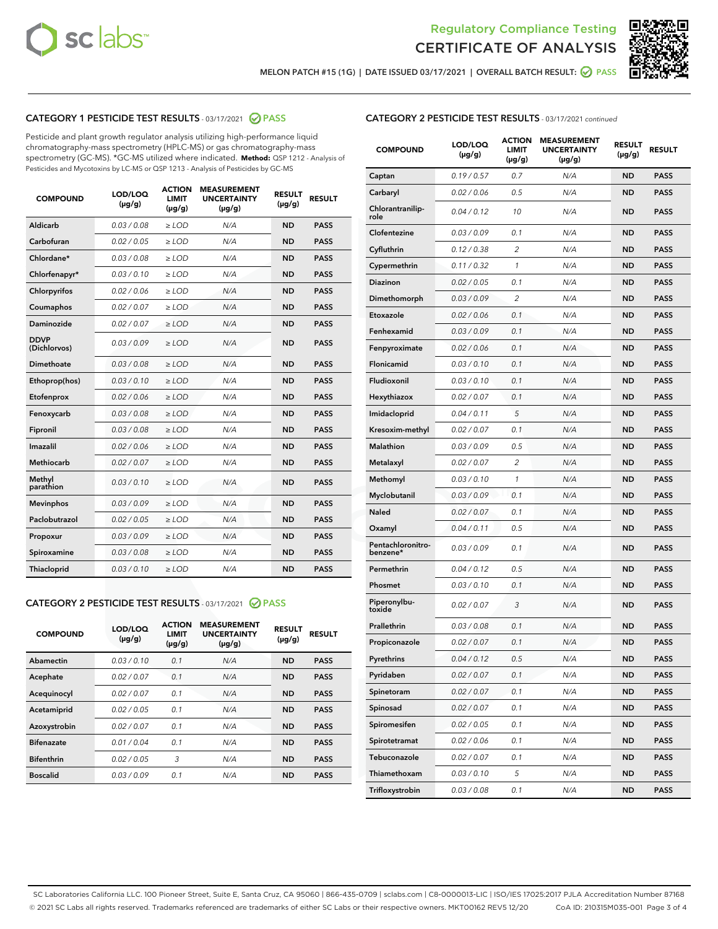



MELON PATCH #15 (1G) | DATE ISSUED 03/17/2021 | OVERALL BATCH RESULT: ☑ PASS

# CATEGORY 1 PESTICIDE TEST RESULTS - 03/17/2021 @ PASS

Pesticide and plant growth regulator analysis utilizing high-performance liquid chromatography-mass spectrometry (HPLC-MS) or gas chromatography-mass spectrometry (GC-MS). \*GC-MS utilized where indicated. **Method:** QSP 1212 - Analysis of Pesticides and Mycotoxins by LC-MS or QSP 1213 - Analysis of Pesticides by GC-MS

| <b>COMPOUND</b>             | LOD/LOQ<br>$(\mu g/g)$ | <b>ACTION</b><br><b>LIMIT</b><br>$(\mu g/g)$ | <b>MEASUREMENT</b><br><b>UNCERTAINTY</b><br>$(\mu g/g)$ | <b>RESULT</b><br>$(\mu g/g)$ | <b>RESULT</b> |
|-----------------------------|------------------------|----------------------------------------------|---------------------------------------------------------|------------------------------|---------------|
| Aldicarb                    | 0.03 / 0.08            | $\ge$ LOD                                    | N/A                                                     | <b>ND</b>                    | <b>PASS</b>   |
| Carbofuran                  | 0.02 / 0.05            | $\ge$ LOD                                    | N/A                                                     | <b>ND</b>                    | <b>PASS</b>   |
| Chlordane*                  | 0.03 / 0.08            | $\ge$ LOD                                    | N/A                                                     | <b>ND</b>                    | <b>PASS</b>   |
| Chlorfenapyr*               | 0.03/0.10              | $\ge$ LOD                                    | N/A                                                     | <b>ND</b>                    | <b>PASS</b>   |
| Chlorpyrifos                | 0.02 / 0.06            | $\ge$ LOD                                    | N/A                                                     | <b>ND</b>                    | <b>PASS</b>   |
| Coumaphos                   | 0.02 / 0.07            | $\ge$ LOD                                    | N/A                                                     | <b>ND</b>                    | <b>PASS</b>   |
| Daminozide                  | 0.02 / 0.07            | $\ge$ LOD                                    | N/A                                                     | <b>ND</b>                    | <b>PASS</b>   |
| <b>DDVP</b><br>(Dichlorvos) | 0.03/0.09              | $\ge$ LOD                                    | N/A                                                     | <b>ND</b>                    | <b>PASS</b>   |
| Dimethoate                  | 0.03 / 0.08            | $\ge$ LOD                                    | N/A                                                     | <b>ND</b>                    | <b>PASS</b>   |
| Ethoprop(hos)               | 0.03/0.10              | $\ge$ LOD                                    | N/A                                                     | <b>ND</b>                    | <b>PASS</b>   |
| Etofenprox                  | 0.02/0.06              | $>$ LOD                                      | N/A                                                     | <b>ND</b>                    | <b>PASS</b>   |
| Fenoxycarb                  | 0.03 / 0.08            | $>$ LOD                                      | N/A                                                     | <b>ND</b>                    | <b>PASS</b>   |
| Fipronil                    | 0.03 / 0.08            | $>$ LOD                                      | N/A                                                     | <b>ND</b>                    | <b>PASS</b>   |
| Imazalil                    | 0.02 / 0.06            | $\ge$ LOD                                    | N/A                                                     | <b>ND</b>                    | <b>PASS</b>   |
| <b>Methiocarb</b>           | 0.02 / 0.07            | $\ge$ LOD                                    | N/A                                                     | <b>ND</b>                    | <b>PASS</b>   |
| Methyl<br>parathion         | 0.03/0.10              | $\ge$ LOD                                    | N/A                                                     | <b>ND</b>                    | <b>PASS</b>   |
| <b>Mevinphos</b>            | 0.03/0.09              | $\ge$ LOD                                    | N/A                                                     | <b>ND</b>                    | <b>PASS</b>   |
| Paclobutrazol               | 0.02 / 0.05            | $\ge$ LOD                                    | N/A                                                     | <b>ND</b>                    | <b>PASS</b>   |
| Propoxur                    | 0.03/0.09              | $\ge$ LOD                                    | N/A                                                     | <b>ND</b>                    | <b>PASS</b>   |
| Spiroxamine                 | 0.03 / 0.08            | $\ge$ LOD                                    | N/A                                                     | <b>ND</b>                    | <b>PASS</b>   |
| Thiacloprid                 | 0.03/0.10              | $\ge$ LOD                                    | N/A                                                     | <b>ND</b>                    | <b>PASS</b>   |

#### CATEGORY 2 PESTICIDE TEST RESULTS - 03/17/2021 @ PASS

| <b>COMPOUND</b>   | LOD/LOQ<br>$(\mu g/g)$ | <b>ACTION</b><br><b>LIMIT</b><br>$(\mu g/g)$ | <b>MEASUREMENT</b><br><b>UNCERTAINTY</b><br>$(\mu g/g)$ | <b>RESULT</b><br>$(\mu g/g)$ | <b>RESULT</b> |
|-------------------|------------------------|----------------------------------------------|---------------------------------------------------------|------------------------------|---------------|
| Abamectin         | 0.03/0.10              | 0.1                                          | N/A                                                     | <b>ND</b>                    | <b>PASS</b>   |
| Acephate          | 0.02/0.07              | 0.1                                          | N/A                                                     | <b>ND</b>                    | <b>PASS</b>   |
| Acequinocyl       | 0.02/0.07              | 0.1                                          | N/A                                                     | <b>ND</b>                    | <b>PASS</b>   |
| Acetamiprid       | 0.02/0.05              | 0.1                                          | N/A                                                     | <b>ND</b>                    | <b>PASS</b>   |
| Azoxystrobin      | 0.02/0.07              | 0.1                                          | N/A                                                     | <b>ND</b>                    | <b>PASS</b>   |
| <b>Bifenazate</b> | 0.01/0.04              | 0.1                                          | N/A                                                     | <b>ND</b>                    | <b>PASS</b>   |
| <b>Bifenthrin</b> | 0.02/0.05              | 3                                            | N/A                                                     | <b>ND</b>                    | <b>PASS</b>   |
| <b>Boscalid</b>   | 0.03/0.09              | 0.1                                          | N/A                                                     | <b>ND</b>                    | <b>PASS</b>   |

# CATEGORY 2 PESTICIDE TEST RESULTS - 03/17/2021 continued

| <b>COMPOUND</b>               | <b>LOD/LOQ</b><br>$(\mu g/g)$ | <b>ACTION</b><br>LIMIT<br>$(\mu g/g)$ | <b>MEASUREMENT</b><br><b>UNCERTAINTY</b><br>(µg/g) | <b>RESULT</b><br>(µg/g) | <b>RESULT</b> |
|-------------------------------|-------------------------------|---------------------------------------|----------------------------------------------------|-------------------------|---------------|
| Captan                        | 0.19/0.57                     | 0.7                                   | N/A                                                | <b>ND</b>               | <b>PASS</b>   |
| Carbaryl                      | 0.02 / 0.06                   | 0.5                                   | N/A                                                | ND                      | <b>PASS</b>   |
| Chlorantranilip-<br>role      | 0.04 / 0.12                   | 10                                    | N/A                                                | <b>ND</b>               | <b>PASS</b>   |
| Clofentezine                  | 0.03 / 0.09                   | 0.1                                   | N/A                                                | ND                      | <b>PASS</b>   |
| Cyfluthrin                    | 0.12 / 0.38                   | 2                                     | N/A                                                | ND                      | <b>PASS</b>   |
| Cypermethrin                  | 0.11 / 0.32                   | 1                                     | N/A                                                | ND                      | <b>PASS</b>   |
| <b>Diazinon</b>               | 0.02 / 0.05                   | 0.1                                   | N/A                                                | ND                      | <b>PASS</b>   |
| Dimethomorph                  | 0.03 / 0.09                   | 2                                     | N/A                                                | <b>ND</b>               | <b>PASS</b>   |
| Etoxazole                     | 0.02 / 0.06                   | 0.1                                   | N/A                                                | ND                      | <b>PASS</b>   |
| Fenhexamid                    | 0.03 / 0.09                   | 0.1                                   | N/A                                                | ND                      | <b>PASS</b>   |
| Fenpyroximate                 | 0.02 / 0.06                   | 0.1                                   | N/A                                                | <b>ND</b>               | <b>PASS</b>   |
| Flonicamid                    | 0.03 / 0.10                   | 0.1                                   | N/A                                                | ND                      | <b>PASS</b>   |
| Fludioxonil                   | 0.03/0.10                     | 0.1                                   | N/A                                                | ND                      | <b>PASS</b>   |
| Hexythiazox                   | 0.02 / 0.07                   | 0.1                                   | N/A                                                | <b>ND</b>               | <b>PASS</b>   |
| Imidacloprid                  | 0.04 / 0.11                   | 5                                     | N/A                                                | ND                      | <b>PASS</b>   |
| Kresoxim-methyl               | 0.02 / 0.07                   | 0.1                                   | N/A                                                | ND                      | <b>PASS</b>   |
| <b>Malathion</b>              | 0.03 / 0.09                   | 0.5                                   | N/A                                                | ND                      | <b>PASS</b>   |
| Metalaxyl                     | 0.02 / 0.07                   | 2                                     | N/A                                                | ND                      | <b>PASS</b>   |
| Methomyl                      | 0.03 / 0.10                   | 1                                     | N/A                                                | ND                      | <b>PASS</b>   |
| Myclobutanil                  | 0.03 / 0.09                   | 0.1                                   | N/A                                                | <b>ND</b>               | <b>PASS</b>   |
| <b>Naled</b>                  | 0.02 / 0.07                   | 0.1                                   | N/A                                                | ND                      | <b>PASS</b>   |
| Oxamyl                        | 0.04 / 0.11                   | 0.5                                   | N/A                                                | ND                      | <b>PASS</b>   |
| Pentachloronitro-<br>benzene* | 0.03 / 0.09                   | 0.1                                   | N/A                                                | ND                      | <b>PASS</b>   |
| Permethrin                    | 0.04 / 0.12                   | 0.5                                   | N/A                                                | ND                      | <b>PASS</b>   |
| Phosmet                       | 0.03 / 0.10                   | 0.1                                   | N/A                                                | ND                      | <b>PASS</b>   |
| Piperonylbu-<br>toxide        | 0.02 / 0.07                   | 3                                     | N/A                                                | <b>ND</b>               | <b>PASS</b>   |
| Prallethrin                   | 0.03 / 0.08                   | 0.1                                   | N/A                                                | <b>ND</b>               | <b>PASS</b>   |
| Propiconazole                 | 0.02 / 0.07                   | 0.1                                   | N/A                                                | <b>ND</b>               | <b>PASS</b>   |
| Pyrethrins                    | 0.04 / 0.12                   | 0.5                                   | N/A                                                | ND                      | PASS          |
| Pyridaben                     | 0.02 / 0.07                   | 0.1                                   | N/A                                                | <b>ND</b>               | <b>PASS</b>   |
| Spinetoram                    | 0.02 / 0.07                   | 0.1                                   | N/A                                                | <b>ND</b>               | <b>PASS</b>   |
| Spinosad                      | 0.02 / 0.07                   | 0.1                                   | N/A                                                | ND                      | <b>PASS</b>   |
| Spiromesifen                  | 0.02 / 0.05                   | 0.1                                   | N/A                                                | <b>ND</b>               | <b>PASS</b>   |
| Spirotetramat                 | 0.02 / 0.06                   | 0.1                                   | N/A                                                | <b>ND</b>               | <b>PASS</b>   |
| Tebuconazole                  | 0.02 / 0.07                   | 0.1                                   | N/A                                                | ND                      | <b>PASS</b>   |
| Thiamethoxam                  | 0.03 / 0.10                   | 5                                     | N/A                                                | <b>ND</b>               | <b>PASS</b>   |
| Trifloxystrobin               | 0.03 / 0.08                   | 0.1                                   | N/A                                                | <b>ND</b>               | <b>PASS</b>   |